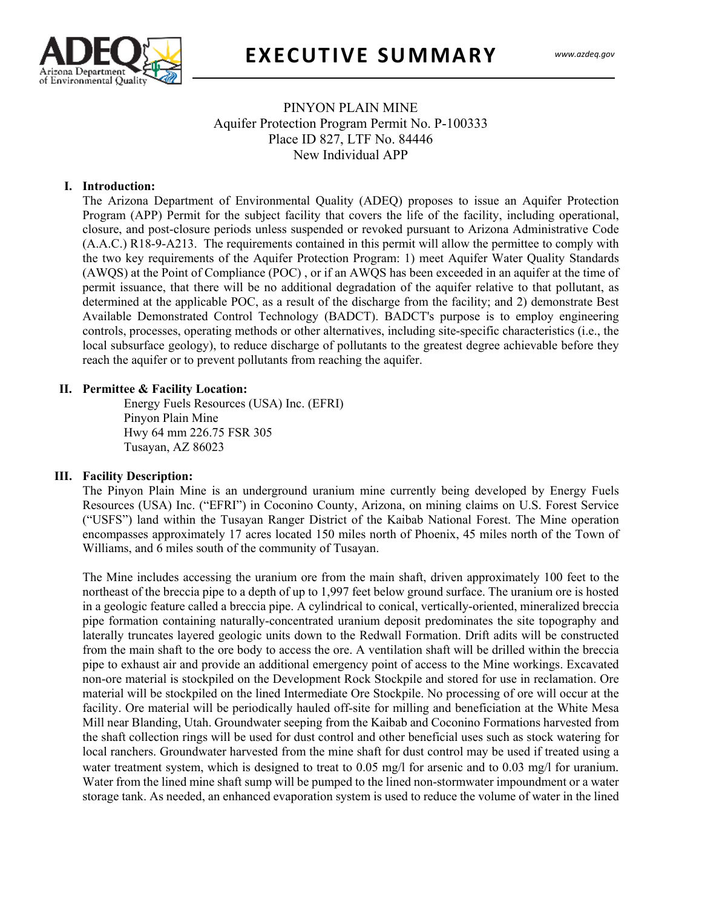

## PINYON PLAIN MINE Aquifer Protection Program Permit No. P-100333 Place ID 827, LTF No. 84446 New Individual APP

#### **I. Introduction:**

The Arizona Department of Environmental Quality (ADEQ) proposes to issue an Aquifer Protection Program (APP) Permit for the subject facility that covers the life of the facility, including operational, closure, and post-closure periods unless suspended or revoked pursuant to Arizona Administrative Code (A.A.C.) R18-9-A213. The requirements contained in this permit will allow the permittee to comply with the two key requirements of the Aquifer Protection Program: 1) meet Aquifer Water Quality Standards (AWQS) at the Point of Compliance (POC) , or if an AWQS has been exceeded in an aquifer at the time of permit issuance, that there will be no additional degradation of the aquifer relative to that pollutant, as determined at the applicable POC, as a result of the discharge from the facility; and 2) demonstrate Best Available Demonstrated Control Technology (BADCT). BADCT's purpose is to employ engineering controls, processes, operating methods or other alternatives, including site-specific characteristics (i.e., the local subsurface geology), to reduce discharge of pollutants to the greatest degree achievable before they reach the aquifer or to prevent pollutants from reaching the aquifer.

#### **II. Permittee & Facility Location:**

Energy Fuels Resources (USA) Inc. (EFRI) Pinyon Plain Mine Hwy 64 mm 226.75 FSR 305 Tusayan, AZ 86023

#### **III. Facility Description:**

The Pinyon Plain Mine is an underground uranium mine currently being developed by Energy Fuels Resources (USA) Inc. ("EFRI") in Coconino County, Arizona, on mining claims on U.S. Forest Service ("USFS") land within the Tusayan Ranger District of the Kaibab National Forest. The Mine operation encompasses approximately 17 acres located 150 miles north of Phoenix, 45 miles north of the Town of Williams, and 6 miles south of the community of Tusayan.

The Mine includes accessing the uranium ore from the main shaft, driven approximately 100 feet to the northeast of the breccia pipe to a depth of up to 1,997 feet below ground surface. The uranium ore is hosted in a geologic feature called a breccia pipe. A cylindrical to conical, vertically-oriented, mineralized breccia pipe formation containing naturally-concentrated uranium deposit predominates the site topography and laterally truncates layered geologic units down to the Redwall Formation. Drift adits will be constructed from the main shaft to the ore body to access the ore. A ventilation shaft will be drilled within the breccia pipe to exhaust air and provide an additional emergency point of access to the Mine workings. Excavated non-ore material is stockpiled on the Development Rock Stockpile and stored for use in reclamation. Ore material will be stockpiled on the lined Intermediate Ore Stockpile. No processing of ore will occur at the facility. Ore material will be periodically hauled off-site for milling and beneficiation at the White Mesa Mill near Blanding, Utah. Groundwater seeping from the Kaibab and Coconino Formations harvested from the shaft collection rings will be used for dust control and other beneficial uses such as stock watering for local ranchers. Groundwater harvested from the mine shaft for dust control may be used if treated using a water treatment system, which is designed to treat to 0.05 mg/l for arsenic and to 0.03 mg/l for uranium. Water from the lined mine shaft sump will be pumped to the lined non-stormwater impoundment or a water storage tank. As needed, an enhanced evaporation system is used to reduce the volume of water in the lined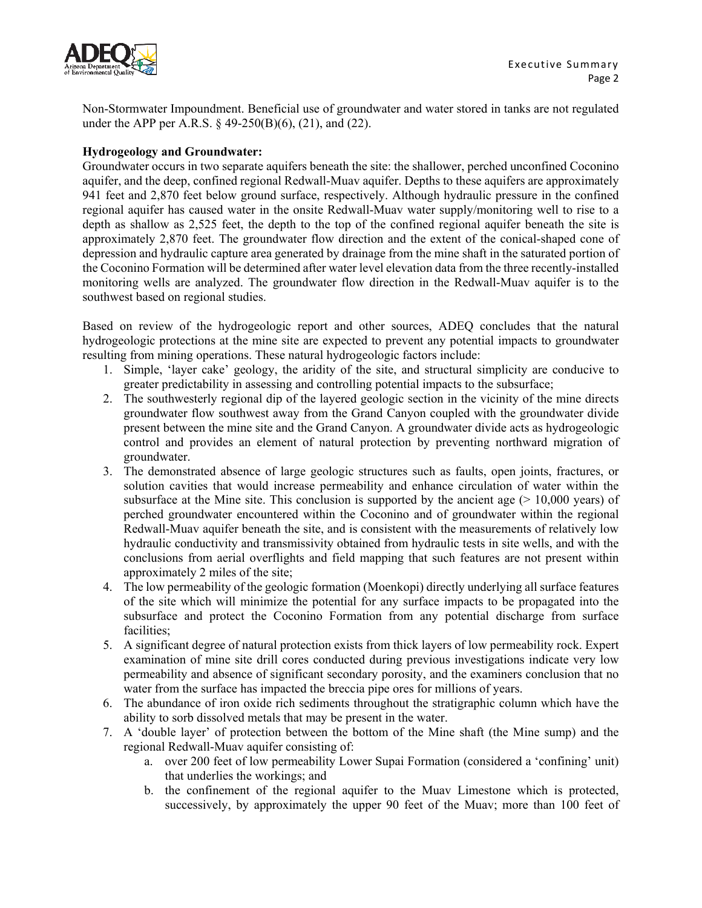

Non-Stormwater Impoundment. Beneficial use of groundwater and water stored in tanks are not regulated under the APP per A.R.S. § 49-250(B)(6), (21), and (22).

### **Hydrogeology and Groundwater:**

Groundwater occurs in two separate aquifers beneath the site: the shallower, perched unconfined Coconino aquifer, and the deep, confined regional Redwall-Muav aquifer. Depths to these aquifers are approximately 941 feet and 2,870 feet below ground surface, respectively. Although hydraulic pressure in the confined regional aquifer has caused water in the onsite Redwall-Muav water supply/monitoring well to rise to a depth as shallow as 2,525 feet, the depth to the top of the confined regional aquifer beneath the site is approximately 2,870 feet. The groundwater flow direction and the extent of the conical-shaped cone of depression and hydraulic capture area generated by drainage from the mine shaft in the saturated portion of the Coconino Formation will be determined after water level elevation data from the three recently-installed monitoring wells are analyzed. The groundwater flow direction in the Redwall-Muav aquifer is to the southwest based on regional studies.

Based on review of the hydrogeologic report and other sources, ADEQ concludes that the natural hydrogeologic protections at the mine site are expected to prevent any potential impacts to groundwater resulting from mining operations. These natural hydrogeologic factors include:

- 1. Simple, 'layer cake' geology, the aridity of the site, and structural simplicity are conducive to greater predictability in assessing and controlling potential impacts to the subsurface;
- 2. The southwesterly regional dip of the layered geologic section in the vicinity of the mine directs groundwater flow southwest away from the Grand Canyon coupled with the groundwater divide present between the mine site and the Grand Canyon. A groundwater divide acts as hydrogeologic control and provides an element of natural protection by preventing northward migration of groundwater.
- 3. The demonstrated absence of large geologic structures such as faults, open joints, fractures, or solution cavities that would increase permeability and enhance circulation of water within the subsurface at the Mine site. This conclusion is supported by the ancient age  $(> 10,000$  years) of perched groundwater encountered within the Coconino and of groundwater within the regional Redwall-Muav aquifer beneath the site, and is consistent with the measurements of relatively low hydraulic conductivity and transmissivity obtained from hydraulic tests in site wells, and with the conclusions from aerial overflights and field mapping that such features are not present within approximately 2 miles of the site;
- 4. The low permeability of the geologic formation (Moenkopi) directly underlying all surface features of the site which will minimize the potential for any surface impacts to be propagated into the subsurface and protect the Coconino Formation from any potential discharge from surface facilities;
- 5. A significant degree of natural protection exists from thick layers of low permeability rock. Expert examination of mine site drill cores conducted during previous investigations indicate very low permeability and absence of significant secondary porosity, and the examiners conclusion that no water from the surface has impacted the breccia pipe ores for millions of years.
- 6. The abundance of iron oxide rich sediments throughout the stratigraphic column which have the ability to sorb dissolved metals that may be present in the water.
- 7. A 'double layer' of protection between the bottom of the Mine shaft (the Mine sump) and the regional Redwall-Muav aquifer consisting of:
	- a. over 200 feet of low permeability Lower Supai Formation (considered a 'confining' unit) that underlies the workings; and
	- b. the confinement of the regional aquifer to the Muav Limestone which is protected, successively, by approximately the upper 90 feet of the Muav; more than 100 feet of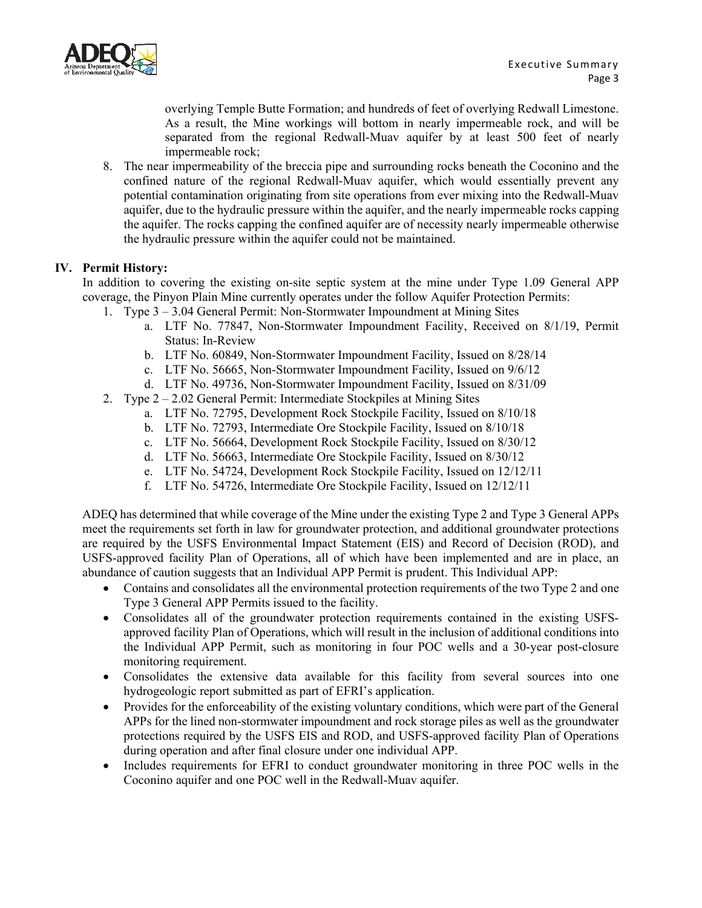

overlying Temple Butte Formation; and hundreds of feet of overlying Redwall Limestone. As a result, the Mine workings will bottom in nearly impermeable rock, and will be separated from the regional Redwall-Muav aquifer by at least 500 feet of nearly impermeable rock;

8. The near impermeability of the breccia pipe and surrounding rocks beneath the Coconino and the confined nature of the regional Redwall-Muav aquifer, which would essentially prevent any potential contamination originating from site operations from ever mixing into the Redwall-Muav aquifer, due to the hydraulic pressure within the aquifer, and the nearly impermeable rocks capping the aquifer. The rocks capping the confined aquifer are of necessity nearly impermeable otherwise the hydraulic pressure within the aquifer could not be maintained.

### **IV. Permit History:**

In addition to covering the existing on-site septic system at the mine under Type 1.09 General APP coverage, the Pinyon Plain Mine currently operates under the follow Aquifer Protection Permits:

- 1. Type 3 3.04 General Permit: Non-Stormwater Impoundment at Mining Sites
	- a. LTF No. 77847, Non-Stormwater Impoundment Facility, Received on 8/1/19, Permit Status: In-Review
	- b. LTF No. 60849, Non-Stormwater Impoundment Facility, Issued on 8/28/14
	- c. LTF No. 56665, Non-Stormwater Impoundment Facility, Issued on 9/6/12
	- d. LTF No. 49736, Non-Stormwater Impoundment Facility, Issued on 8/31/09
- 2. Type 2 2.02 General Permit: Intermediate Stockpiles at Mining Sites
	- a. LTF No. 72795, Development Rock Stockpile Facility, Issued on 8/10/18
	- b. LTF No. 72793, Intermediate Ore Stockpile Facility, Issued on 8/10/18
	- c. LTF No. 56664, Development Rock Stockpile Facility, Issued on 8/30/12
	- d. LTF No. 56663, Intermediate Ore Stockpile Facility, Issued on 8/30/12
	- e. LTF No. 54724, Development Rock Stockpile Facility, Issued on 12/12/11
	- f. LTF No. 54726, Intermediate Ore Stockpile Facility, Issued on 12/12/11

ADEQ has determined that while coverage of the Mine under the existing Type 2 and Type 3 General APPs meet the requirements set forth in law for groundwater protection, and additional groundwater protections are required by the USFS Environmental Impact Statement (EIS) and Record of Decision (ROD), and USFS-approved facility Plan of Operations, all of which have been implemented and are in place, an abundance of caution suggests that an Individual APP Permit is prudent. This Individual APP:

- Contains and consolidates all the environmental protection requirements of the two Type 2 and one Type 3 General APP Permits issued to the facility.
- Consolidates all of the groundwater protection requirements contained in the existing USFSapproved facility Plan of Operations, which will result in the inclusion of additional conditions into the Individual APP Permit, such as monitoring in four POC wells and a 30-year post-closure monitoring requirement.
- Consolidates the extensive data available for this facility from several sources into one hydrogeologic report submitted as part of EFRI's application.
- Provides for the enforceability of the existing voluntary conditions, which were part of the General APPs for the lined non-stormwater impoundment and rock storage piles as well as the groundwater protections required by the USFS EIS and ROD, and USFS-approved facility Plan of Operations during operation and after final closure under one individual APP.
- Includes requirements for EFRI to conduct groundwater monitoring in three POC wells in the Coconino aquifer and one POC well in the Redwall-Muav aquifer.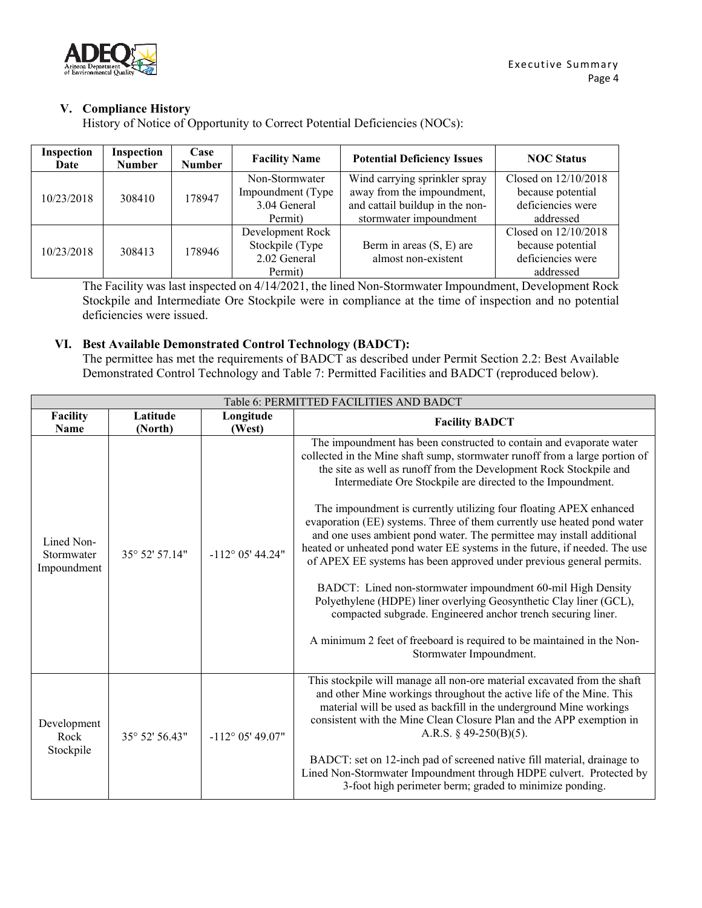

## **V. Compliance History**

History of Notice of Opportunity to Correct Potential Deficiencies (NOCs):

| Inspection<br>Date | Inspection<br><b>Number</b> | Case<br><b>Number</b> | <b>Facility Name</b>                                            | <b>Potential Deficiency Issues</b>                                                                                       | <b>NOC Status</b>                                                           |
|--------------------|-----------------------------|-----------------------|-----------------------------------------------------------------|--------------------------------------------------------------------------------------------------------------------------|-----------------------------------------------------------------------------|
| 10/23/2018         | 308410                      | 178947                | Non-Stormwater<br>Impoundment (Type)<br>3.04 General<br>Permit) | Wind carrying sprinkler spray<br>away from the impoundment,<br>and cattail buildup in the non-<br>stormwater impoundment | Closed on 12/10/2018<br>because potential<br>deficiencies were<br>addressed |
| 10/23/2018         | 308413                      | 178946                | Development Rock<br>Stockpile (Type<br>2.02 General<br>Permit)  | Berm in areas (S, E) are<br>almost non-existent                                                                          | Closed on 12/10/2018<br>because potential<br>deficiencies were<br>addressed |

The Facility was last inspected on 4/14/2021, the lined Non-Stormwater Impoundment, Development Rock Stockpile and Intermediate Ore Stockpile were in compliance at the time of inspection and no potential deficiencies were issued.

### **VI. Best Available Demonstrated Control Technology (BADCT):**

The permittee has met the requirements of BADCT as described under Permit Section 2.2: Best Available Demonstrated Control Technology and Table 7: Permitted Facilities and BADCT (reproduced below).

<span id="page-3-0"></span>

| Table 6: PERMITTED FACILITIES AND BADCT |                     |                           |                                                                                                                                                                                                                                                                                                                                                                                                                                                                                                                                                                                                                                                                                                                                                                                                                                                                                                                                                                                   |  |  |
|-----------------------------------------|---------------------|---------------------------|-----------------------------------------------------------------------------------------------------------------------------------------------------------------------------------------------------------------------------------------------------------------------------------------------------------------------------------------------------------------------------------------------------------------------------------------------------------------------------------------------------------------------------------------------------------------------------------------------------------------------------------------------------------------------------------------------------------------------------------------------------------------------------------------------------------------------------------------------------------------------------------------------------------------------------------------------------------------------------------|--|--|
| Facility<br>Name                        | Latitude<br>(North) | Longitude<br>(West)       | <b>Facility BADCT</b>                                                                                                                                                                                                                                                                                                                                                                                                                                                                                                                                                                                                                                                                                                                                                                                                                                                                                                                                                             |  |  |
| Lined Non-<br>Stormwater<br>Impoundment | 35° 52' 57.14"      | $-112^{\circ}$ 05' 44.24" | The impoundment has been constructed to contain and evaporate water<br>collected in the Mine shaft sump, stormwater runoff from a large portion of<br>the site as well as runoff from the Development Rock Stockpile and<br>Intermediate Ore Stockpile are directed to the Impoundment.<br>The impoundment is currently utilizing four floating APEX enhanced<br>evaporation (EE) systems. Three of them currently use heated pond water<br>and one uses ambient pond water. The permittee may install additional<br>heated or unheated pond water EE systems in the future, if needed. The use<br>of APEX EE systems has been approved under previous general permits.<br>BADCT: Lined non-stormwater impoundment 60-mil High Density<br>Polyethylene (HDPE) liner overlying Geosynthetic Clay liner (GCL),<br>compacted subgrade. Engineered anchor trench securing liner.<br>A minimum 2 feet of freeboard is required to be maintained in the Non-<br>Stormwater Impoundment. |  |  |
| Development<br>Rock<br>Stockpile        | 35° 52′ 56.43″      | $-112^{\circ}$ 05' 49.07" | This stockpile will manage all non-ore material excavated from the shaft<br>and other Mine workings throughout the active life of the Mine. This<br>material will be used as backfill in the underground Mine workings<br>consistent with the Mine Clean Closure Plan and the APP exemption in<br>A.R.S. $\S$ 49-250(B)(5).<br>BADCT: set on 12-inch pad of screened native fill material, drainage to<br>Lined Non-Stormwater Impoundment through HDPE culvert. Protected by<br>3-foot high perimeter berm; graded to minimize ponding.                                                                                                                                                                                                                                                                                                                                                                                                                                          |  |  |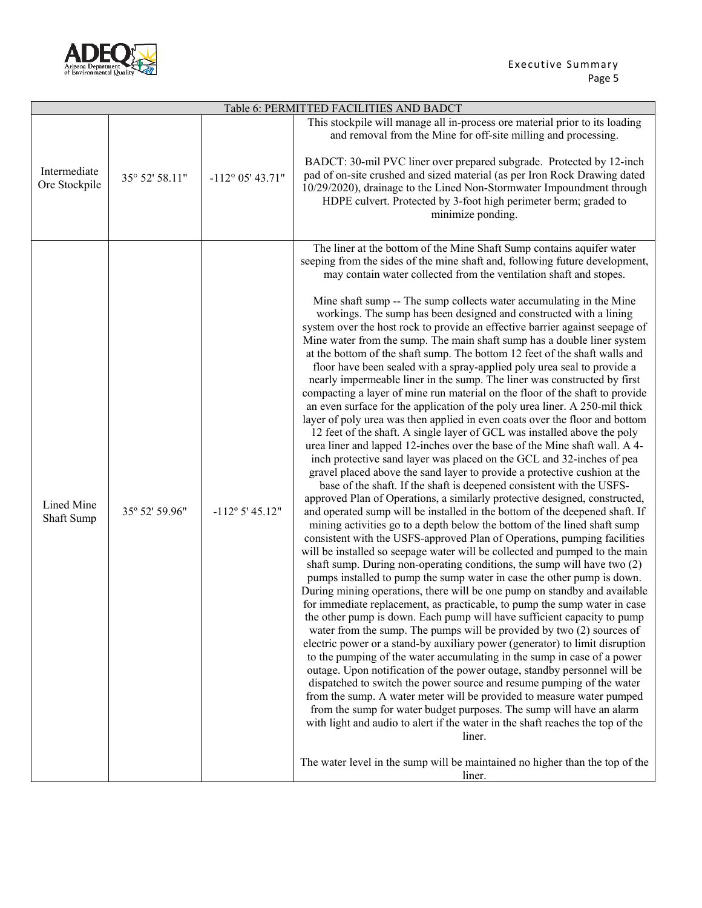

| Table 6: PERMITTED FACILITIES AND BADCT |                |                           |                                                                                                                                                                                                                                                                                                                                                                                                                                                                                                                                                                                                                                                                                                                                                                                                                                                                                                                                                                                                                                                                                                                                                                                                                                                                                                                                                                                                                                                                                                                                                                                                                                                                                                                                                                                                                                                                                                                                                                                                                                                                                                                                                                                                                                                                                                                                                                                                                                                                                                                                                                                                                                                                                                                                                                                                                                                                                                                                                  |  |  |
|-----------------------------------------|----------------|---------------------------|--------------------------------------------------------------------------------------------------------------------------------------------------------------------------------------------------------------------------------------------------------------------------------------------------------------------------------------------------------------------------------------------------------------------------------------------------------------------------------------------------------------------------------------------------------------------------------------------------------------------------------------------------------------------------------------------------------------------------------------------------------------------------------------------------------------------------------------------------------------------------------------------------------------------------------------------------------------------------------------------------------------------------------------------------------------------------------------------------------------------------------------------------------------------------------------------------------------------------------------------------------------------------------------------------------------------------------------------------------------------------------------------------------------------------------------------------------------------------------------------------------------------------------------------------------------------------------------------------------------------------------------------------------------------------------------------------------------------------------------------------------------------------------------------------------------------------------------------------------------------------------------------------------------------------------------------------------------------------------------------------------------------------------------------------------------------------------------------------------------------------------------------------------------------------------------------------------------------------------------------------------------------------------------------------------------------------------------------------------------------------------------------------------------------------------------------------------------------------------------------------------------------------------------------------------------------------------------------------------------------------------------------------------------------------------------------------------------------------------------------------------------------------------------------------------------------------------------------------------------------------------------------------------------------------------------------------|--|--|
| Intermediate<br>Ore Stockpile           | 35° 52' 58.11" | $-112^{\circ}$ 05' 43.71" | This stockpile will manage all in-process ore material prior to its loading<br>and removal from the Mine for off-site milling and processing.<br>BADCT: 30-mil PVC liner over prepared subgrade. Protected by 12-inch<br>pad of on-site crushed and sized material (as per Iron Rock Drawing dated<br>10/29/2020), drainage to the Lined Non-Stormwater Impoundment through<br>HDPE culvert. Protected by 3-foot high perimeter berm; graded to<br>minimize ponding.                                                                                                                                                                                                                                                                                                                                                                                                                                                                                                                                                                                                                                                                                                                                                                                                                                                                                                                                                                                                                                                                                                                                                                                                                                                                                                                                                                                                                                                                                                                                                                                                                                                                                                                                                                                                                                                                                                                                                                                                                                                                                                                                                                                                                                                                                                                                                                                                                                                                             |  |  |
| Lined Mine<br>Shaft Sump                | 35° 52' 59.96" | $-112^{\circ} 5' 45.12"$  | The liner at the bottom of the Mine Shaft Sump contains aquifer water<br>seeping from the sides of the mine shaft and, following future development,<br>may contain water collected from the ventilation shaft and stopes.<br>Mine shaft sump -- The sump collects water accumulating in the Mine<br>workings. The sump has been designed and constructed with a lining<br>system over the host rock to provide an effective barrier against seepage of<br>Mine water from the sump. The main shaft sump has a double liner system<br>at the bottom of the shaft sump. The bottom 12 feet of the shaft walls and<br>floor have been sealed with a spray-applied poly urea seal to provide a<br>nearly impermeable liner in the sump. The liner was constructed by first<br>compacting a layer of mine run material on the floor of the shaft to provide<br>an even surface for the application of the poly urea liner. A 250-mil thick<br>layer of poly urea was then applied in even coats over the floor and bottom<br>12 feet of the shaft. A single layer of GCL was installed above the poly<br>urea liner and lapped 12-inches over the base of the Mine shaft wall. A 4-<br>inch protective sand layer was placed on the GCL and 32-inches of pea<br>gravel placed above the sand layer to provide a protective cushion at the<br>base of the shaft. If the shaft is deepened consistent with the USFS-<br>approved Plan of Operations, a similarly protective designed, constructed,<br>and operated sump will be installed in the bottom of the deepened shaft. If<br>mining activities go to a depth below the bottom of the lined shaft sump<br>consistent with the USFS-approved Plan of Operations, pumping facilities<br>will be installed so seepage water will be collected and pumped to the main<br>shaft sump. During non-operating conditions, the sump will have two $(2)$<br>pumps installed to pump the sump water in case the other pump is down.<br>During mining operations, there will be one pump on standby and available<br>for immediate replacement, as practicable, to pump the sump water in case<br>the other pump is down. Each pump will have sufficient capacity to pump<br>water from the sump. The pumps will be provided by two $(2)$ sources of<br>electric power or a stand-by auxiliary power (generator) to limit disruption<br>to the pumping of the water accumulating in the sump in case of a power<br>outage. Upon notification of the power outage, standby personnel will be<br>dispatched to switch the power source and resume pumping of the water<br>from the sump. A water meter will be provided to measure water pumped<br>from the sump for water budget purposes. The sump will have an alarm<br>with light and audio to alert if the water in the shaft reaches the top of the<br>liner.<br>The water level in the sump will be maintained no higher than the top of the<br>liner. |  |  |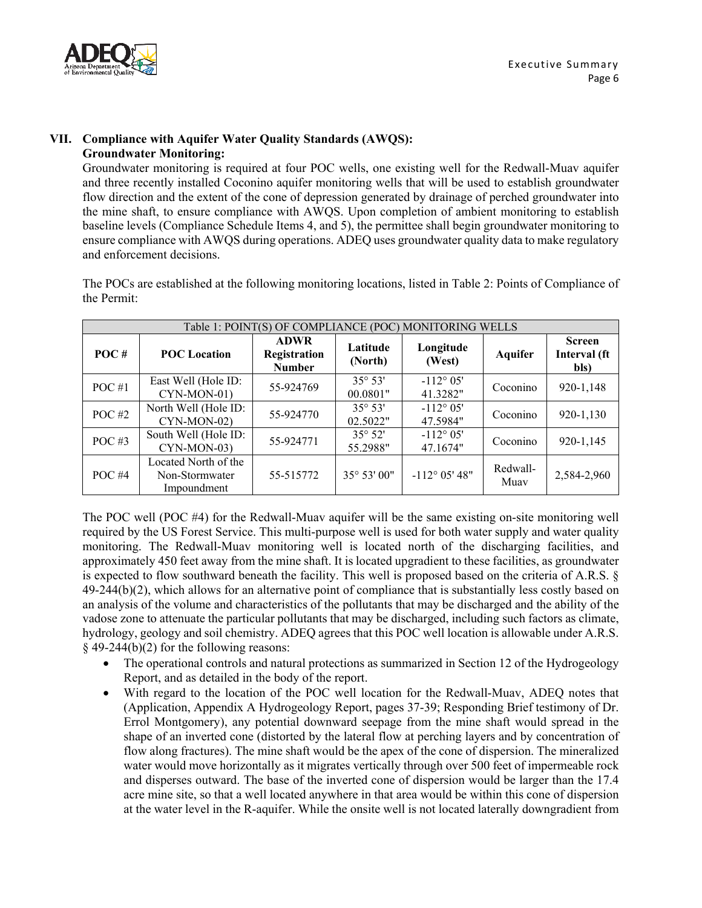

### **VII. Compliance with Aquifer Water Quality Standards (AWQS): Groundwater Monitoring:**

Groundwater monitoring is required at four POC wells, one existing well for the Redwall-Muav aquifer and three recently installed Coconino aquifer monitoring wells that will be used to establish groundwater flow direction and the extent of the cone of depression generated by drainage of perched groundwater into the mine shaft, to ensure compliance with AWQS. Upon completion of ambient monitoring to establish baseline levels (Compliance Schedule Items 4, and 5), the permittee shall begin groundwater monitoring to ensure compliance with AWQS during operations. ADEQ uses groundwater quality data to make regulatory and enforcement decisions.

The POCs are established at the following monitoring locations, listed in Table 2: Points of Compliance of the Permit:

| Table 1: POINT(S) OF COMPLIANCE (POC) MONITORING WELLS |                                                       |                                              |                              |                               |                  |                                       |
|--------------------------------------------------------|-------------------------------------------------------|----------------------------------------------|------------------------------|-------------------------------|------------------|---------------------------------------|
| POC#                                                   | <b>POC</b> Location                                   | <b>ADWR</b><br>Registration<br><b>Number</b> | Latitude<br>(North)          | Longitude<br>(West)           | <b>Aquifer</b>   | <b>Screen</b><br>Interval (ft<br>bls) |
| $POC \#1$                                              | East Well (Hole ID:<br>CYN-MON-01)                    | 55-924769                                    | $35^{\circ} 53'$<br>00.0801" | $-112^{\circ}05'$<br>41.3282" | Coconino         | 920-1,148                             |
| POC $#2$                                               | North Well (Hole ID:<br>CYN-MON-02)                   | 55-924770                                    | $35^{\circ} 53'$<br>02.5022" | $-112^{\circ}05'$<br>47.5984" | Coconino         | 920-1,130                             |
| POC $#3$                                               | South Well (Hole ID:<br>CYN-MON-03)                   | 55-924771                                    | $35^{\circ} 52'$<br>55.2988" | $-112^{\circ}05'$<br>47.1674" | Coconino         | 920-1,145                             |
| POC $#4$                                               | Located North of the<br>Non-Stormwater<br>Impoundment | 55-515772                                    | 35° 53' 00"                  | $-112^{\circ}$ 05' 48"        | Redwall-<br>Muay | 2,584-2,960                           |

The POC well (POC #4) for the Redwall-Muav aquifer will be the same existing on-site monitoring well required by the US Forest Service. This multi-purpose well is used for both water supply and water quality monitoring. The Redwall-Muav monitoring well is located north of the discharging facilities, and approximately 450 feet away from the mine shaft. It is located upgradient to these facilities, as groundwater is expected to flow southward beneath the facility. This well is proposed based on the criteria of A.R.S. § 49-244(b)(2), which allows for an alternative point of compliance that is substantially less costly based on an analysis of the volume and characteristics of the pollutants that may be discharged and the ability of the vadose zone to attenuate the particular pollutants that may be discharged, including such factors as climate, hydrology, geology and soil chemistry. ADEQ agrees that this POC well location is allowable under A.R.S. § 49-244(b)(2) for the following reasons:

- The operational controls and natural protections as summarized in Section 12 of the Hydrogeology Report, and as detailed in the body of the report.
- With regard to the location of the POC well location for the Redwall-Muav, ADEQ notes that (Application, Appendix A Hydrogeology Report, pages 37-39; Responding Brief testimony of Dr. Errol Montgomery), any potential downward seepage from the mine shaft would spread in the shape of an inverted cone (distorted by the lateral flow at perching layers and by concentration of flow along fractures). The mine shaft would be the apex of the cone of dispersion. The mineralized water would move horizontally as it migrates vertically through over 500 feet of impermeable rock and disperses outward. The base of the inverted cone of dispersion would be larger than the 17.4 acre mine site, so that a well located anywhere in that area would be within this cone of dispersion at the water level in the R-aquifer. While the onsite well is not located laterally downgradient from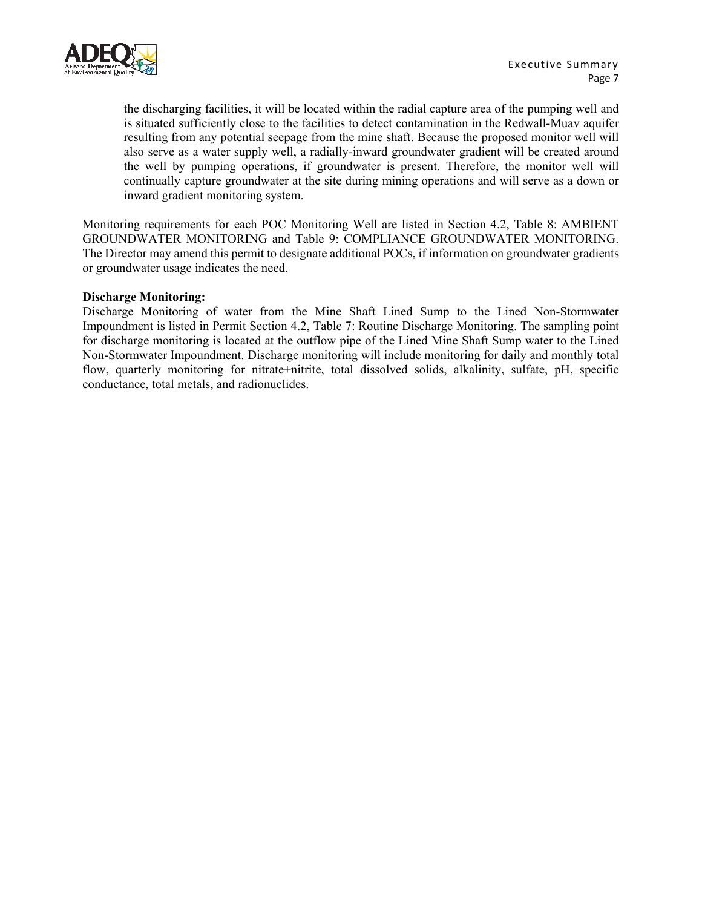

the discharging facilities, it will be located within the radial capture area of the pumping well and is situated sufficiently close to the facilities to detect contamination in the Redwall-Muav aquifer resulting from any potential seepage from the mine shaft. Because the proposed monitor well will also serve as a water supply well, a radially-inward groundwater gradient will be created around the well by pumping operations, if groundwater is present. Therefore, the monitor well will continually capture groundwater at the site during mining operations and will serve as a down or inward gradient monitoring system.

Monitoring requirements for each POC Monitoring Well are listed in Section 4.2, Table 8: AMBIENT GROUNDWATER MONITORING and Table 9: COMPLIANCE GROUNDWATER MONITORING. The Director may amend this permit to designate additional POCs, if information on groundwater gradients or groundwater usage indicates the need.

#### **Discharge Monitoring:**

Discharge Monitoring of water from the Mine Shaft Lined Sump to the Lined Non-Stormwater Impoundment is listed in Permit Section 4.2, Table 7: Routine Discharge Monitoring. The sampling point for discharge monitoring is located at the outflow pipe of the Lined Mine Shaft Sump water to the Lined Non-Stormwater Impoundment. Discharge monitoring will include monitoring for daily and monthly total flow, quarterly monitoring for nitrate+nitrite, total dissolved solids, alkalinity, sulfate, pH, specific conductance, total metals, and radionuclides.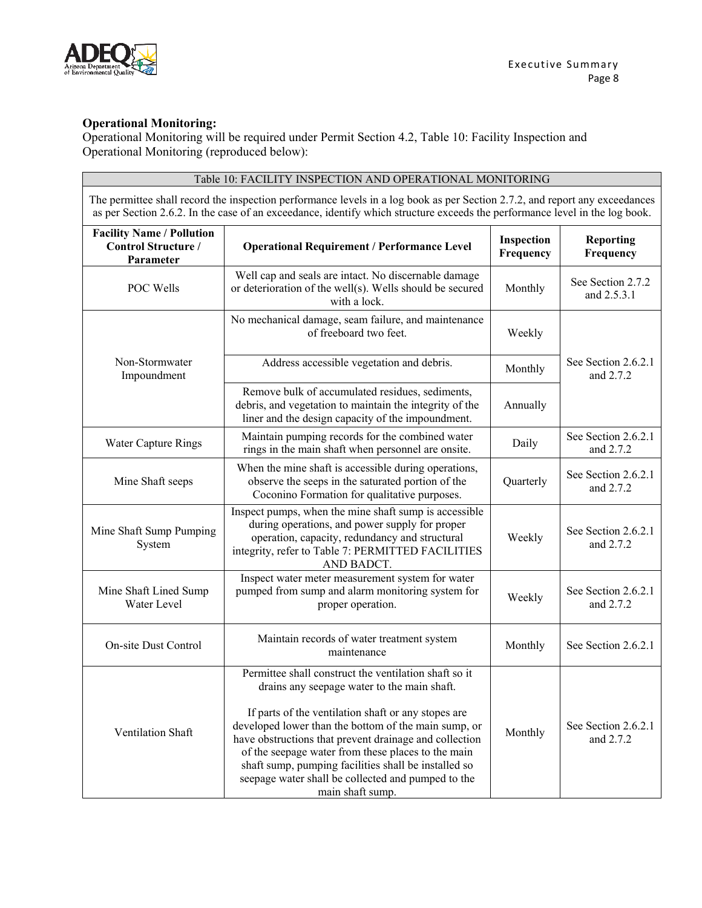

### **Operational Monitoring:**

Operational Monitoring will be required under Permit Section 4.2, Table 10: Facility Inspection and Operational Monitoring (reproduced below):

| Table 10: FACILITY INSPECTION AND OPERATIONAL MONITORING                                                                                                                                                                                                   |                                                                                                                                                                                                                                                                                                                                                                                                                                                                       |           |                                  |  |  |
|------------------------------------------------------------------------------------------------------------------------------------------------------------------------------------------------------------------------------------------------------------|-----------------------------------------------------------------------------------------------------------------------------------------------------------------------------------------------------------------------------------------------------------------------------------------------------------------------------------------------------------------------------------------------------------------------------------------------------------------------|-----------|----------------------------------|--|--|
| The permittee shall record the inspection performance levels in a log book as per Section 2.7.2, and report any exceedances<br>as per Section 2.6.2. In the case of an exceedance, identify which structure exceeds the performance level in the log book. |                                                                                                                                                                                                                                                                                                                                                                                                                                                                       |           |                                  |  |  |
| <b>Facility Name / Pollution</b><br><b>Control Structure /</b><br>Parameter                                                                                                                                                                                | <b>Operational Requirement / Performance Level</b>                                                                                                                                                                                                                                                                                                                                                                                                                    |           | <b>Reporting</b><br>Frequency    |  |  |
| POC Wells                                                                                                                                                                                                                                                  | Well cap and seals are intact. No discernable damage<br>or deterioration of the well(s). Wells should be secured<br>with a lock.                                                                                                                                                                                                                                                                                                                                      | Monthly   | See Section 2.7.2<br>and 2.5.3.1 |  |  |
|                                                                                                                                                                                                                                                            | No mechanical damage, seam failure, and maintenance<br>of freeboard two feet.                                                                                                                                                                                                                                                                                                                                                                                         | Weekly    |                                  |  |  |
| Non-Stormwater<br>Impoundment                                                                                                                                                                                                                              | Address accessible vegetation and debris.                                                                                                                                                                                                                                                                                                                                                                                                                             | Monthly   | See Section 2.6.2.1<br>and 2.7.2 |  |  |
|                                                                                                                                                                                                                                                            | Remove bulk of accumulated residues, sediments,<br>debris, and vegetation to maintain the integrity of the<br>liner and the design capacity of the impoundment.                                                                                                                                                                                                                                                                                                       | Annually  |                                  |  |  |
| <b>Water Capture Rings</b>                                                                                                                                                                                                                                 | Maintain pumping records for the combined water<br>rings in the main shaft when personnel are onsite.                                                                                                                                                                                                                                                                                                                                                                 | Daily     | See Section 2.6.2.1<br>and 2.7.2 |  |  |
| Mine Shaft seeps                                                                                                                                                                                                                                           | When the mine shaft is accessible during operations,<br>observe the seeps in the saturated portion of the<br>Coconino Formation for qualitative purposes.                                                                                                                                                                                                                                                                                                             | Quarterly | See Section 2.6.2.1<br>and 2.7.2 |  |  |
| Mine Shaft Sump Pumping<br>System                                                                                                                                                                                                                          | Inspect pumps, when the mine shaft sump is accessible<br>during operations, and power supply for proper<br>operation, capacity, redundancy and structural<br>integrity, refer to Table 7: PERMITTED FACILITIES<br>AND BADCT.                                                                                                                                                                                                                                          | Weekly    | See Section 2.6.2.1<br>and 2.7.2 |  |  |
| Mine Shaft Lined Sump<br>Water Level                                                                                                                                                                                                                       | Inspect water meter measurement system for water<br>pumped from sump and alarm monitoring system for<br>proper operation.                                                                                                                                                                                                                                                                                                                                             | Weekly    | See Section 2.6.2.1<br>and 2.7.2 |  |  |
| On-site Dust Control                                                                                                                                                                                                                                       | Maintain records of water treatment system<br>maintenance                                                                                                                                                                                                                                                                                                                                                                                                             | Monthly   | See Section 2.6.2.1              |  |  |
| Ventilation Shaft                                                                                                                                                                                                                                          | Permittee shall construct the ventilation shaft so it<br>drains any seepage water to the main shaft.<br>If parts of the ventilation shaft or any stopes are<br>developed lower than the bottom of the main sump, or<br>have obstructions that prevent drainage and collection<br>of the seepage water from these places to the main<br>shaft sump, pumping facilities shall be installed so<br>seepage water shall be collected and pumped to the<br>main shaft sump. | Monthly   | See Section 2.6.2.1<br>and 2.7.2 |  |  |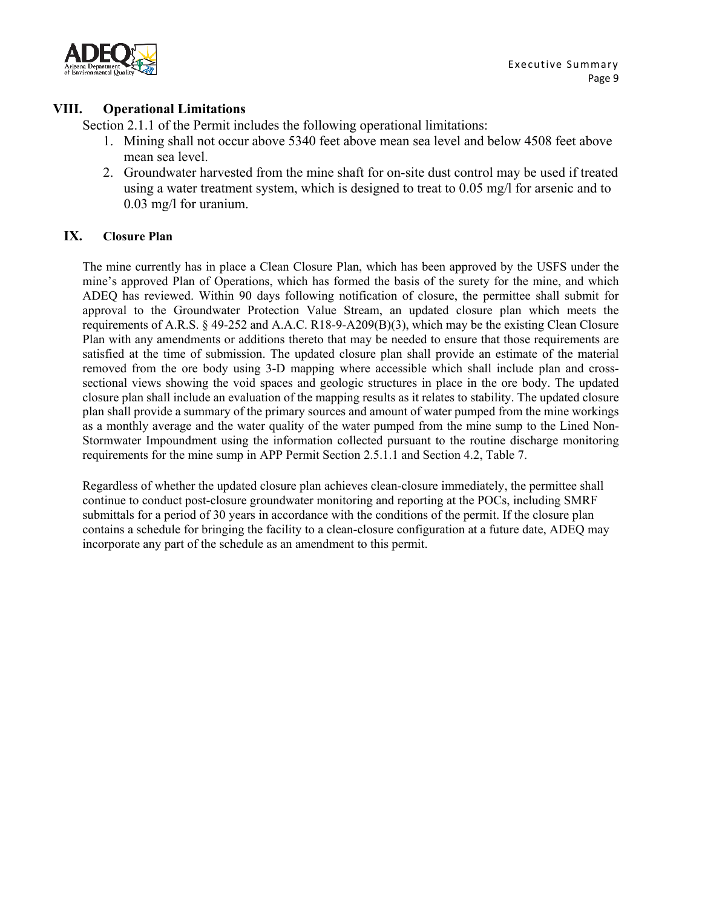

## **VIII. Operational Limitations**

Section 2.1.1 of the Permit includes the following operational limitations:

- 1. Mining shall not occur above 5340 feet above mean sea level and below 4508 feet above mean sea level.
- 2. Groundwater harvested from the mine shaft for on-site dust control may be used if treated using a water treatment system, which is designed to treat to 0.05 mg/l for arsenic and to 0.03 mg/l for uranium.

## **IX. Closure Plan**

The mine currently has in place a Clean Closure Plan, which has been approved by the USFS under the mine's approved Plan of Operations, which has formed the basis of the surety for the mine, and which ADEQ has reviewed. Within 90 days following notification of closure, the permittee shall submit for approval to the Groundwater Protection Value Stream, an updated closure plan which meets the requirements of A.R.S. § 49-252 and A.A.C. R18-9-A209(B)(3), which may be the existing Clean Closure Plan with any amendments or additions thereto that may be needed to ensure that those requirements are satisfied at the time of submission. The updated closure plan shall provide an estimate of the material removed from the ore body using 3-D mapping where accessible which shall include plan and crosssectional views showing the void spaces and geologic structures in place in the ore body. The updated closure plan shall include an evaluation of the mapping results as it relates to stability. The updated closure plan shall provide a summary of the primary sources and amount of water pumped from the mine workings as a monthly average and the water quality of the water pumped from the mine sump to the Lined Non-Stormwater Impoundment using the information collected pursuant to the routine discharge monitoring requirements for the mine sump in APP Permit Section 2.5.1.1 and Section 4.2, Table 7.

Regardless of whether the updated closure plan achieves clean-closure immediately, the permittee shall continue to conduct post-closure groundwater monitoring and reporting at the POCs, including SMRF submittals for a period of 30 years in accordance with the conditions of the permit. If the closure plan contains a schedule for bringing the facility to a clean-closure configuration at a future date, ADEQ may incorporate any part of the schedule as an amendment to this permit.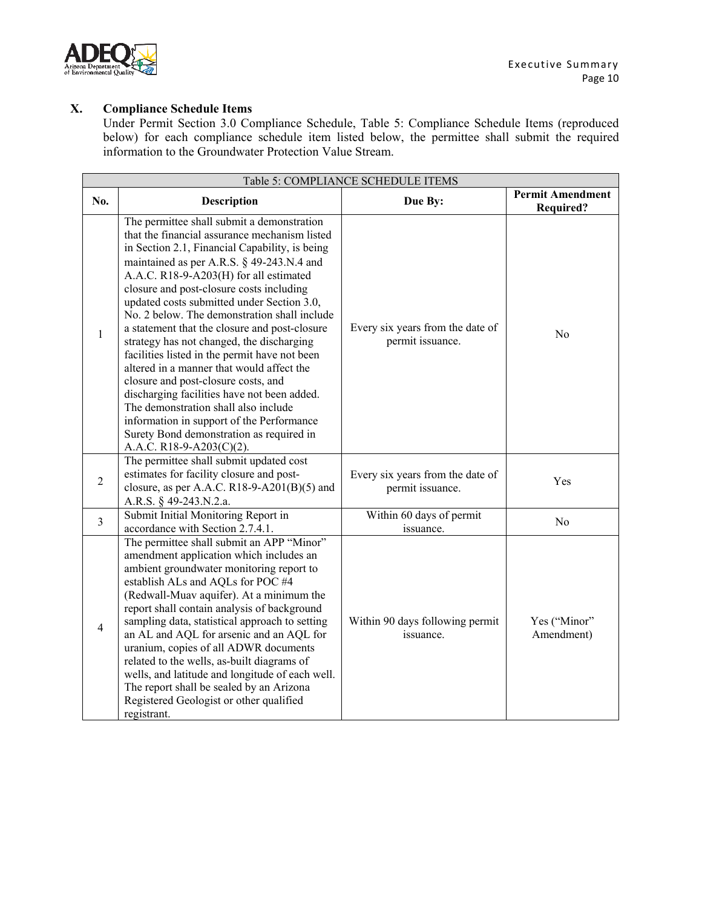

# **X. Compliance Schedule Items**

Under Permit Section 3.0 Compliance Schedule, Table 5: Compliance Schedule Items (reproduced below) for each compliance schedule item listed below, the permittee shall submit the required information to the Groundwater Protection Value Stream.

| Table 5: COMPLIANCE SCHEDULE ITEMS |                                                                                                                                                                                                                                                                                                                                                                                                                                                                                                                                                                                                                                                                                                                                                                                                                               |                                                      |                                             |  |  |
|------------------------------------|-------------------------------------------------------------------------------------------------------------------------------------------------------------------------------------------------------------------------------------------------------------------------------------------------------------------------------------------------------------------------------------------------------------------------------------------------------------------------------------------------------------------------------------------------------------------------------------------------------------------------------------------------------------------------------------------------------------------------------------------------------------------------------------------------------------------------------|------------------------------------------------------|---------------------------------------------|--|--|
| No.                                | <b>Description</b>                                                                                                                                                                                                                                                                                                                                                                                                                                                                                                                                                                                                                                                                                                                                                                                                            | Due By:                                              | <b>Permit Amendment</b><br><b>Required?</b> |  |  |
| $\mathbf{1}$                       | The permittee shall submit a demonstration<br>that the financial assurance mechanism listed<br>in Section 2.1, Financial Capability, is being<br>maintained as per A.R.S. § 49-243.N.4 and<br>A.A.C. R18-9-A203(H) for all estimated<br>closure and post-closure costs including<br>updated costs submitted under Section 3.0,<br>No. 2 below. The demonstration shall include<br>a statement that the closure and post-closure<br>strategy has not changed, the discharging<br>facilities listed in the permit have not been<br>altered in a manner that would affect the<br>closure and post-closure costs, and<br>discharging facilities have not been added.<br>The demonstration shall also include<br>information in support of the Performance<br>Surety Bond demonstration as required in<br>A.A.C. R18-9-A203(C)(2). | Every six years from the date of<br>permit issuance. | N <sub>o</sub>                              |  |  |
| $\overline{2}$                     | The permittee shall submit updated cost<br>estimates for facility closure and post-<br>closure, as per A.A.C. R18-9-A201(B)(5) and<br>A.R.S. § 49-243.N.2.a.                                                                                                                                                                                                                                                                                                                                                                                                                                                                                                                                                                                                                                                                  | Every six years from the date of<br>permit issuance. | Yes                                         |  |  |
| $\overline{3}$                     | Submit Initial Monitoring Report in<br>accordance with Section 2.7.4.1.                                                                                                                                                                                                                                                                                                                                                                                                                                                                                                                                                                                                                                                                                                                                                       | Within 60 days of permit<br>issuance.                | N <sub>o</sub>                              |  |  |
| $\overline{4}$                     | The permittee shall submit an APP "Minor"<br>amendment application which includes an<br>ambient groundwater monitoring report to<br>establish ALs and AQLs for POC #4<br>(Redwall-Muav aquifer). At a minimum the<br>report shall contain analysis of background<br>sampling data, statistical approach to setting<br>an AL and AQL for arsenic and an AQL for<br>uranium, copies of all ADWR documents<br>related to the wells, as-built diagrams of<br>wells, and latitude and longitude of each well.<br>The report shall be sealed by an Arizona<br>Registered Geologist or other qualified<br>registrant.                                                                                                                                                                                                                | Within 90 days following permit<br>issuance.         | Yes ("Minor"<br>Amendment)                  |  |  |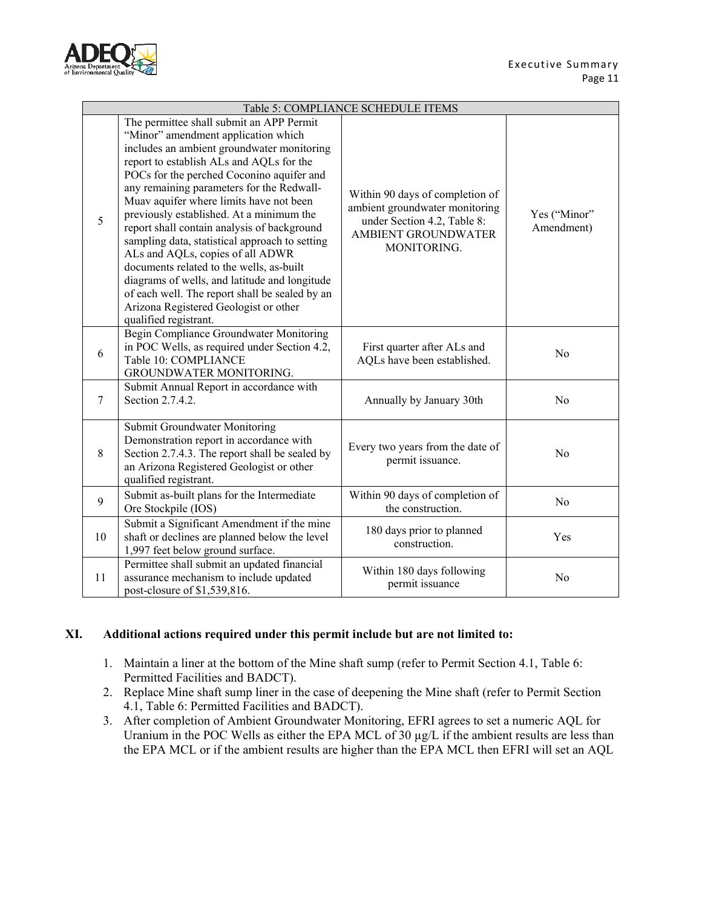

| Table 5: COMPLIANCE SCHEDULE ITEMS |                                                                                                                                                                                                                                                                                                                                                                                                                                                                                                                                                                                                                                                                                                                  |                                                                                                                                        |                            |  |
|------------------------------------|------------------------------------------------------------------------------------------------------------------------------------------------------------------------------------------------------------------------------------------------------------------------------------------------------------------------------------------------------------------------------------------------------------------------------------------------------------------------------------------------------------------------------------------------------------------------------------------------------------------------------------------------------------------------------------------------------------------|----------------------------------------------------------------------------------------------------------------------------------------|----------------------------|--|
| 5                                  | The permittee shall submit an APP Permit<br>"Minor" amendment application which<br>includes an ambient groundwater monitoring<br>report to establish ALs and AQLs for the<br>POCs for the perched Coconino aquifer and<br>any remaining parameters for the Redwall-<br>Muav aquifer where limits have not been<br>previously established. At a minimum the<br>report shall contain analysis of background<br>sampling data, statistical approach to setting<br>ALs and AQLs, copies of all ADWR<br>documents related to the wells, as-built<br>diagrams of wells, and latitude and longitude<br>of each well. The report shall be sealed by an<br>Arizona Registered Geologist or other<br>qualified registrant. | Within 90 days of completion of<br>ambient groundwater monitoring<br>under Section 4.2, Table 8:<br>AMBIENT GROUNDWATER<br>MONITORING. | Yes ("Minor"<br>Amendment) |  |
| 6                                  | Begin Compliance Groundwater Monitoring<br>in POC Wells, as required under Section 4.2,<br>Table 10: COMPLIANCE<br>GROUNDWATER MONITORING.                                                                                                                                                                                                                                                                                                                                                                                                                                                                                                                                                                       | First quarter after ALs and<br>AQLs have been established.                                                                             | No                         |  |
| $\overline{7}$                     | Submit Annual Report in accordance with<br>Section 2.7.4.2.                                                                                                                                                                                                                                                                                                                                                                                                                                                                                                                                                                                                                                                      | Annually by January 30th                                                                                                               | No                         |  |
| $\,8\,$                            | Submit Groundwater Monitoring<br>Demonstration report in accordance with<br>Section 2.7.4.3. The report shall be sealed by<br>an Arizona Registered Geologist or other<br>qualified registrant.                                                                                                                                                                                                                                                                                                                                                                                                                                                                                                                  | Every two years from the date of<br>permit issuance.                                                                                   | No                         |  |
| 9                                  | Submit as-built plans for the Intermediate<br>Ore Stockpile (IOS)                                                                                                                                                                                                                                                                                                                                                                                                                                                                                                                                                                                                                                                | Within 90 days of completion of<br>the construction.                                                                                   | No                         |  |
| 10                                 | Submit a Significant Amendment if the mine<br>shaft or declines are planned below the level<br>1,997 feet below ground surface.                                                                                                                                                                                                                                                                                                                                                                                                                                                                                                                                                                                  | 180 days prior to planned<br>construction.                                                                                             | Yes                        |  |
| 11                                 | Permittee shall submit an updated financial<br>assurance mechanism to include updated<br>post-closure of \$1,539,816.                                                                                                                                                                                                                                                                                                                                                                                                                                                                                                                                                                                            | Within 180 days following<br>permit issuance                                                                                           | No                         |  |

## **XI. Additional actions required under this permit include but are not limited to:**

- 1. Maintain a liner at the bottom of the Mine shaft sump (refer to Permit Section 4.1, Table 6: Permitted Facilities and BADCT).
- 2. Replace Mine shaft sump liner in the case of deepening the Mine shaft (refer to Permit Section 4.1, Table 6: Permitted Facilities and BADCT).
- 3. After completion of Ambient Groundwater Monitoring, EFRI agrees to set a numeric AQL for Uranium in the POC Wells as either the EPA MCL of 30 µg/L if the ambient results are less than the EPA MCL or if the ambient results are higher than the EPA MCL then EFRI will set an AQL